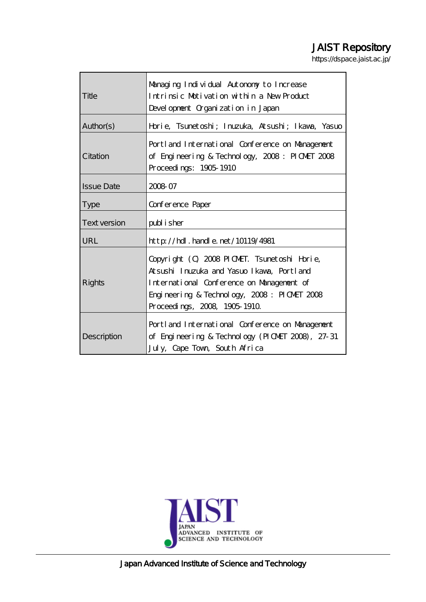# JAIST Repository

https://dspace.jaist.ac.jp/

| Title               | Managing Individual Autonomy to Increase<br>Intrinsic Motivation within a New Product<br>Devel opnent Organization in Japan                                                                                            |
|---------------------|------------------------------------------------------------------------------------------------------------------------------------------------------------------------------------------------------------------------|
| Author(s)           | Horie, Tsunetoshi; Inuzuka, Atsushi; Ikawa, Yasuo                                                                                                                                                                      |
| Citation            | Portland International Conference on Management<br>of Engineering & Technology, 2008: PIOMET 2008<br>Proceedings: 1905-1910                                                                                            |
| <b>Issue Date</b>   | 2008 07                                                                                                                                                                                                                |
| <b>Type</b>         | Conference Paper                                                                                                                                                                                                       |
| <b>Text version</b> | publisher                                                                                                                                                                                                              |
| URL                 | $http$ // $hdl$ . handle. net/10119/4981                                                                                                                                                                               |
| Rights              | Copyright (C) 2008 PICMET. Tsunetoshi Horie,<br>Atsushi Inuzuka and Yasuo Ikawa, Portland<br>International Conference on Management of<br>Engineering & Technology, 2008: PIOMET 2008<br>Proceedings, 2008, 1905-1910. |
| Description         | Portland International Conference on Management<br>of Engineering & Technology (PIOMET 2008), 27-31<br>July, Cape Town, South Africa                                                                                   |



Japan Advanced Institute of Science and Technology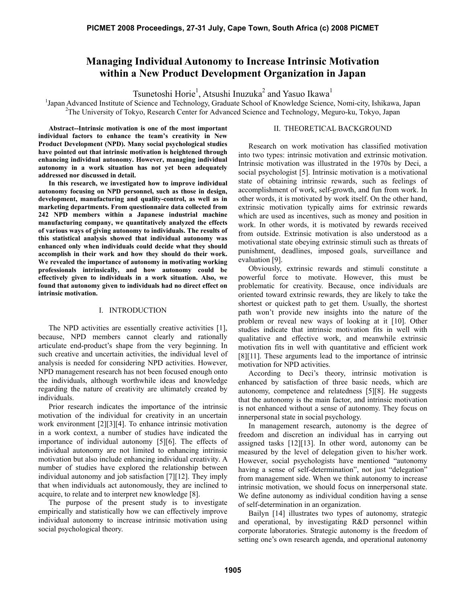# **Managing Individual Autonomy to Increase Intrinsic Motivation within a New Product Development Organization in Japan**

Tsunetoshi Horie<sup>1</sup>, Atsushi Inuzuka<sup>2</sup> and Yasuo Ikawa<sup>1</sup>

<sup>1</sup>Japan Advanced Institute of Science and Technology, Graduate School of Knowledge Science, Nomi-city, Ishikawa, Japan <sup>2</sup>The University of Televa, Bessex Center for Advanced Science and Technology, Megure lev. Televa, Ja <sup>2</sup>The University of Tokyo, Research Center for Advanced Science and Technology, Meguro-ku, Tokyo, Japan

**Abstract--Intrinsic motivation is one of the most important individual factors to enhance the team's creativity in New Product Development (NPD). Many social psychological studies have pointed out that intrinsic motivation is heightened through enhancing individual autonomy. However, managing individual autonomy in a work situation has not yet been adequately addressed nor discussed in detail.** 

**In this research, we investigated how to improve individual autonomy focusing on NPD personnel, such as those in design, development, manufacturing and quality-control, as well as in marketing departments. From questionnaire data collected from 242 NPD members within a Japanese industrial machine manufacturing company, we quantitatively analyzed the effects of various ways of giving autonomy to individuals. The results of this statistical analysis showed that individual autonomy was enhanced only when individuals could decide what they should accomplish in their work and how they should do their work. We revealed the importance of autonomy in motivating working professionals intrinsically, and how autonomy could be effectively given to individuals in a work situation. Also, we found that autonomy given to individuals had no direct effect on intrinsic motivation.** 

#### I. INTRODUCTION

The NPD activities are essentially creative activities [1], because, NPD members cannot clearly and rationally articulate end-product's shape from the very beginning. In such creative and uncertain activities, the individual level of analysis is needed for considering NPD activities. However, NPD management research has not been focused enough onto the individuals, although worthwhile ideas and knowledge regarding the nature of creativity are ultimately created by individuals.

Prior research indicates the importance of the intrinsic motivation of the individual for creativity in an uncertain work environment [2][3][4]. To enhance intrinsic motivation in a work context, a number of studies have indicated the importance of individual autonomy [5][6]. The effects of individual autonomy are not limited to enhancing intrinsic motivation but also include enhancing individual creativity. A number of studies have explored the relationship between individual autonomy and job satisfaction [7][12]. They imply that when individuals act autonomously, they are inclined to acquire, to relate and to interpret new knowledge [8].

The purpose of the present study is to investigate empirically and statistically how we can effectively improve individual autonomy to increase intrinsic motivation using social psychological theory.

#### II. THEORETICAL BACKGROUND

Research on work motivation has classified motivation into two types: intrinsic motivation and extrinsic motivation. Intrinsic motivation was illustrated in the 1970s by Deci, a social psychologist [5]. Intrinsic motivation is a motivational state of obtaining intrinsic rewards, such as feelings of accomplishment of work, self-growth, and fun from work. In other words, it is motivated by work itself. On the other hand, extrinsic motivation typically aims for extrinsic rewards which are used as incentives, such as money and position in work. In other words, it is motivated by rewards received from outside. Extrinsic motivation is also understood as a motivational state obeying extrinsic stimuli such as threats of punishment, deadlines, imposed goals, surveillance and evaluation [9].

Obviously, extrinsic rewards and stimuli constitute a powerful force to motivate. However, this must be problematic for creativity. Because, once individuals are oriented toward extrinsic rewards, they are likely to take the shortest or quickest path to get them. Usually, the shortest path won't provide new insights into the nature of the problem or reveal new ways of looking at it [10]. Other studies indicate that intrinsic motivation fits in well with qualitative and effective work, and meanwhile extrinsic motivation fits in well with quantitative and efficient work [8][11]. These arguments lead to the importance of intrinsic motivation for NPD activities.

According to Deci's theory, intrinsic motivation is enhanced by satisfaction of three basic needs, which are autonomy, competence and relatedness [5][8]. He suggests that the autonomy is the main factor, and intrinsic motivation is not enhanced without a sense of autonomy. They focus on innerpersonal state in social psychology.

In management research, autonomy is the degree of freedom and discretion an individual has in carrying out assigned tasks [12][13]. In other word, autonomy can be measured by the level of delegation given to his/her work. However, social psychologists have mentioned "autonomy having a sense of self-determination", not just "delegation" from management side. When we think autonomy to increase intrinsic motivation, we should focus on innerpersonal state. We define autonomy as individual condition having a sense of self-determination in an organization.

Bailyn [14] illustrates two types of autonomy, strategic and operational, by investigating R&D personnel within corporate laboratories. Strategic autonomy is the freedom of setting one's own research agenda, and operational autonomy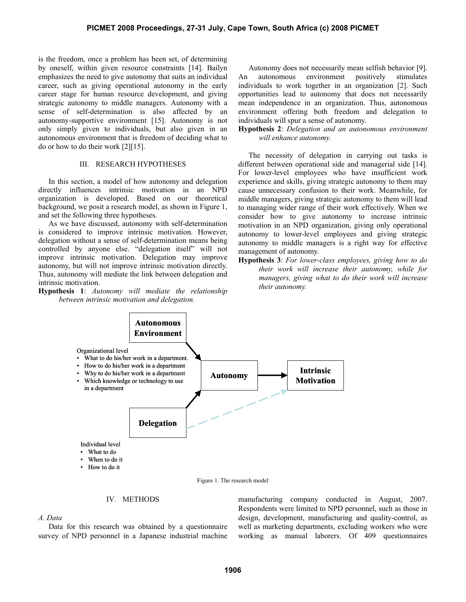is the freedom, once a problem has been set, of determining by oneself, within given resource constraints [14]. Bailyn emphasizes the need to give autonomy that suits an individual career, such as giving operational autonomy in the early career stage for human resource development, and giving strategic autonomy to middle managers. Autonomy with a sense of self-determination is also affected by an autonomy-supportive environment [15]. Autonomy is not only simply given to individuals, but also given in an autonomous environment that is freedom of deciding what to do or how to do their work [2][15].

## III. RESEARCH HYPOTHESES

In this section, a model of how autonomy and delegation directly influences intrinsic motivation in an NPD organization is developed. Based on our theoretical background, we posit a research model, as shown in Figure 1, and set the following three hypotheses.

As we have discussed, autonomy with self-determination is considered to improve intrinsic motivation. However, delegation without a sense of self-determination means being controlled by anyone else. "delegation itself" will not improve intrinsic motivation. Delegation may improve autonomy, but will not improve intrinsic motivation directly. Thus, autonomy will mediate the link between delegation and intrinsic motivation.

**Hypothesis 1**: *Autonomy will mediate the relationship between intrinsic motivation and delegation.*

Autonomy does not necessarily mean selfish behavior [9]. An autonomous environment positively stimulates individuals to work together in an organization [2]. Such opportunities lead to autonomy that does not necessarily mean independence in an organization. Thus, autonomous environment offering both freedom and delegation to individuals will spur a sense of autonomy.

**Hypothesis 2**: *Delegation and an autonomous environment will enhance autonomy.*

The necessity of delegation in carrying out tasks is different between operational side and managerial side [14]. For lower-level employees who have insufficient work experience and skills, giving strategic autonomy to them may cause unnecessary confusion to their work. Meanwhile, for middle managers, giving strategic autonomy to them will lead to managing wider range of their work effectively. When we consider how to give autonomy to increase intrinsic motivation in an NPD organization, giving only operational autonomy to lower-level employees and giving strategic autonomy to middle managers is a right way for effective management of autonomy.

**Hypothesis 3**: *For lower-class employees, giving how to do their work will increase their autonomy, while for managers, giving what to do their work will increase their autonomy.* 



#### IV. METHODS

*A. Data* 

Data for this research was obtained by a questionnaire survey of NPD personnel in a Japanese industrial machine manufacturing company conducted in August, 2007. Respondents were limited to NPD personnel, such as those in design, development, manufacturing and quality-control, as well as marketing departments, excluding workers who were working as manual laborers. Of 409 questionnaires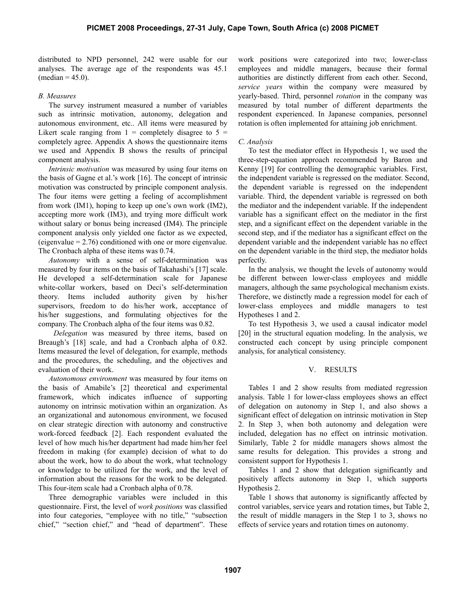distributed to NPD personnel, 242 were usable for our analyses. The average age of the respondents was 45.1  $(median = 45.0)$ .

## *B. Measures*

The survey instrument measured a number of variables such as intrinsic motivation, autonomy, delegation and autonomous environment, etc.. All items were measured by Likert scale ranging from  $1 =$  completely disagree to  $5 =$ completely agree. Appendix A shows the questionnaire items we used and Appendix B shows the results of principal component analysis.

*Intrinsic motivation* was measured by using four items on the basis of Gagne et al.'s work [16]. The concept of intrinsic motivation was constructed by principle component analysis. The four items were getting a feeling of accomplishment from work (IM1), hoping to keep up one's own work (IM2), accepting more work (IM3), and trying more difficult work without salary or bonus being increased (IM4). The principle component analysis only yielded one factor as we expected, (eigenvalue = 2.76) conditioned with one or more eigenvalue. The Cronbach alpha of these items was 0.74.

*Autonomy* with a sense of self-determination was measured by four items on the basis of Takahashi's [17] scale. He developed a self-determination scale for Japanese white-collar workers, based on Deci's self-determination theory. Items included authority given by his/her supervisors, freedom to do his/her work, acceptance of his/her suggestions, and formulating objectives for the company. The Cronbach alpha of the four items was 0.82.

 *Delegation* was measured by three items, based on Breaugh's [18] scale, and had a Cronbach alpha of 0.82. Items measured the level of delegation, for example, methods and the procedures, the scheduling, and the objectives and evaluation of their work.

*Autonomous environment* was measured by four items on the basis of Amabile's [2] theoretical and experimental framework, which indicates influence of supporting autonomy on intrinsic motivation within an organization. As an organizational and autonomous environment, we focused on clear strategic direction with autonomy and constructive work-forced feedback [2]. Each respondent evaluated the level of how much his/her department had made him/her feel freedom in making (for example) decision of what to do about the work, how to do about the work, what technology or knowledge to be utilized for the work, and the level of information about the reasons for the work to be delegated. This four-item scale had a Cronbach alpha of 0.78.

Three demographic variables were included in this questionnaire. First, the level of *work positions* was classified into four categories, "employee with no title," "subsection chief," "section chief," and "head of department". These work positions were categorized into two; lower-class employees and middle managers, because their formal authorities are distinctly different from each other. Second, *service years* within the company were measured by yearly-based. Third, personnel *rotation* in the company was measured by total number of different departments the respondent experienced. In Japanese companies, personnel rotation is often implemented for attaining job enrichment.

#### *C. Analysis*

To test the mediator effect in Hypothesis 1, we used the three-step-equation approach recommended by Baron and Kenny [19] for controlling the demographic variables. First, the independent variable is regressed on the mediator. Second, the dependent variable is regressed on the independent variable. Third, the dependent variable is regressed on both the mediator and the independent variable. If the independent variable has a significant effect on the mediator in the first step, and a significant effect on the dependent variable in the second step, and if the mediator has a significant effect on the dependent variable and the independent variable has no effect on the dependent variable in the third step, the mediator holds perfectly.

In the analysis, we thought the levels of autonomy would be different between lower-class employees and middle managers, although the same psychological mechanism exists. Therefore, we distinctly made a regression model for each of lower-class employees and middle managers to test Hypotheses 1 and 2.

To test Hypothesis 3, we used a causal indicator model [20] in the structural equation modeling. In the analysis, we constructed each concept by using principle component analysis, for analytical consistency.

## V. RESULTS

Tables 1 and 2 show results from mediated regression analysis. Table 1 for lower-class employees shows an effect of delegation on autonomy in Step 1, and also shows a significant effect of delegation on intrinsic motivation in Step 2. In Step 3, when both autonomy and delegation were included, delegation has no effect on intrinsic motivation. Similarly, Table 2 for middle managers shows almost the same results for delegation. This provides a strong and consistent support for Hypothesis 1.

Tables 1 and 2 show that delegation significantly and positively affects autonomy in Step 1, which supports Hypothesis 2.

Table 1 shows that autonomy is significantly affected by control variables, service years and rotation times, but Table 2, the result of middle managers in the Step 1 to 3, shows no effects of service years and rotation times on autonomy.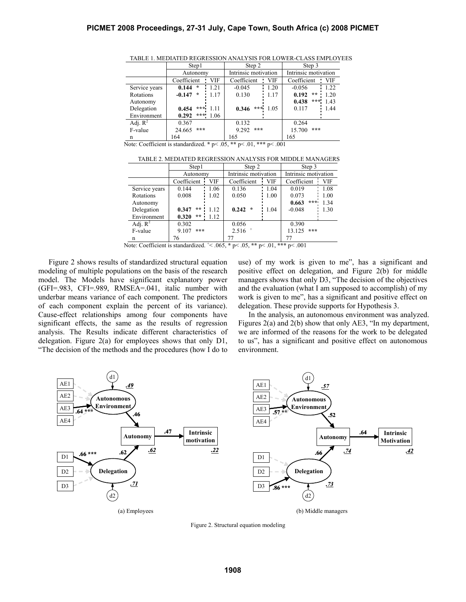|               | Step1                |      | Step 2               |      | Step 3               |      |
|---------------|----------------------|------|----------------------|------|----------------------|------|
|               | Autonomy             |      | Intrinsic motivation |      | Intrinsic motivation |      |
|               | Coefficient          | VIF  | Coefficient          | VIF  | Coefficient          | VIF  |
| Service years | $\star$<br>0.144     | 1.21 | $-0.045$             | 1.20 | $-0.056$             | 1.22 |
| Rotations     | $-0.147$<br>$\ast$   | 1.17 | 0.130                | 1.17 | **<br>0.192          | 1.20 |
| Autonomy      |                      |      |                      |      | ***<br>0.438         | 1.43 |
| Delegation    | ***<br>0.454         | 1.11 | $* * *$<br>0.346     | 1.05 | 0.117                | 1.44 |
| Environment   | ***<br>0.292<br>1.06 |      |                      |      |                      |      |
| Adj. $R^2$    | 0.367                |      | 0.132                |      | 0.264                |      |
| F-value       | ***<br>24.665        |      | 9.292<br>***         |      | 15.700<br>***        |      |
| n             | 164                  |      | 165                  |      | 165                  |      |

TABLE 1. MEDIATED REGRESSION ANALYSIS FOR LOWER-CLASS EMPLOYEES

Note: Coefficient is standardized. **\*** p< .05, **\*\*** p< .01, **\*\*\*** p< .001

|               | Step1        |      | Step 2               |            | Step 3                     |            |
|---------------|--------------|------|----------------------|------------|----------------------------|------------|
|               | Autonomy     |      | Intrinsic motivation |            | Intrinsic motivation       |            |
|               | Coefficient  | VIF  | Coefficient          | <b>VIF</b> | Coefficient                | <b>VIF</b> |
| Service years | 0.144        | 1.06 | 0.136                | 1.04       | 0.019                      | 1.08       |
| Rotations     | 0.008        | 1.02 | 0.050                | 1.00       | 0.073                      | 1.00       |
| Autonomy      |              |      |                      |            | ****<br>0.663              | 1.34       |
| Delegation    | **<br>0.347  | 1.12 | $\star$<br>0.242     | 1.04       | $-0.048$                   | 1.30       |
| Environment   | **<br>0.320  | 1.12 |                      |            |                            |            |
| Adj. $R^2$    | 0.302        |      | 0.056                |            | 0.390                      |            |
| F-value       | ***<br>9.107 |      | 2.516                |            | ***<br>13.125              |            |
| n<br>$\sim$   | 76<br>.      |      | 77<br>$   -$         | .          | 77<br>$\sim$ $\sim$ $\sim$ |            |

TABLE 2. MEDIATED REGRESSION ANALYSIS FOR MIDDLE MANAGERS

Note: Coefficient is standardized. <sup>+</sup> < .065, **\*** p< .05, **\*\*** p< .01, **\*\*\*** p< .001

Figure 2 shows results of standardized structural equation modeling of multiple populations on the basis of the research model. The Models have significant explanatory power (GFI=.983, CFI=.989, RMSEA=.041, italic number with underbar means variance of each component. The predictors of each component explain the percent of its variance). Cause-effect relationships among four components have significant effects, the same as the results of regression analysis. The Results indicate different characteristics of delegation. Figure 2(a) for employees shows that only D1, "The decision of the methods and the procedures (how I do to use) of my work is given to me", has a significant and positive effect on delegation, and Figure 2(b) for middle managers shows that only D3, "The decision of the objectives and the evaluation (what I am supposed to accomplish) of my work is given to me", has a significant and positive effect on delegation. These provide supports for Hypothesis 3.

In the analysis, an autonomous environment was analyzed. Figures 2(a) and 2(b) show that only AE3, "In my department, we are informed of the reasons for the work to be delegated to us", has a significant and positive effect on autonomous environment.



Figure 2. Structural equation modeling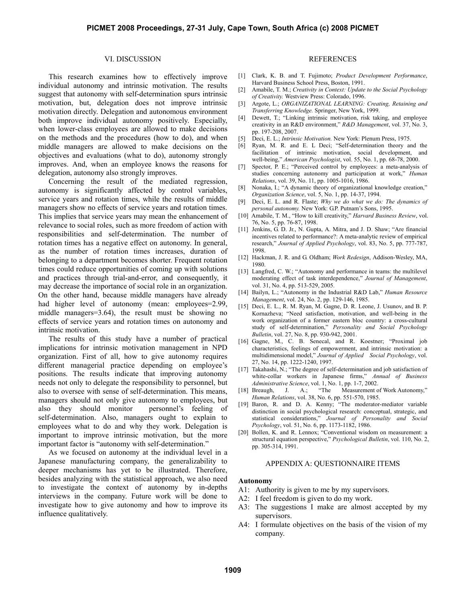## VI. DISCUSSION

This research examines how to effectively improve individual autonomy and intrinsic motivation. The results suggest that autonomy with self-determination spurs intrinsic motivation, but, delegation does not improve intrinsic motivation directly. Delegation and autonomous environment both improve individual autonomy positively. Especially, when lower-class employees are allowed to make decisions on the methods and the procedures (how to do), and when middle managers are allowed to make decisions on the objectives and evaluations (what to do), autonomy strongly improves. And, when an employee knows the reasons for delegation, autonomy also strongly improves.

Concerning the result of the mediated regression, autonomy is significantly affected by control variables, service years and rotation times, while the results of middle managers show no effects of service years and rotation times. This implies that service years may mean the enhancement of relevance to social roles, such as more freedom of action with responsibilities and self-determination. The number of rotation times has a negative effect on autonomy. In general, as the number of rotation times increases, duration of belonging to a department becomes shorter. Frequent rotation times could reduce opportunities of coming up with solutions and practices through trial-and-error, and consequently, it may decrease the importance of social role in an organization. On the other hand, because middle managers have already had higher level of autonomy (mean: employees=2.99, middle managers=3.64), the result must be showing no effects of service years and rotation times on autonomy and intrinsic motivation.

The results of this study have a number of practical implications for intrinsic motivation management in NPD organization. First of all, how to give autonomy requires different managerial practice depending on employee's positions. The results indicate that improving autonomy needs not only to delegate the responsibility to personnel, but also to oversee with sense of self-determination. This means, managers should not only give autonomy to employees, but also they should monitor personnel's feeling of self-determination. Also, managers ought to explain to employees what to do and why they work. Delegation is important to improve intrinsic motivation, but the more important factor is "autonomy with self-determination."

As we focused on autonomy at the individual level in a Japanese manufacturing company, the generalizability to deeper mechanisms has yet to be illustrated. Therefore, besides analyzing with the statistical approach, we also need to investigate the context of autonomy by in-depths interviews in the company. Future work will be done to investigate how to give autonomy and how to improve its influence qualitatively.

## REFERENCES

- [1] Clark, K. B. and T. Fujimoto; *Product Development Performance*, Harvard Business School Press, Boston, 1991.
- [2] Amabile, T. M.; *Creativity in Context: Update to the Social Psychology of Creativity.* Westview Press: Colorado, 1996.
- [3] Argote, L.; *ORGANIZATIONAL LEARNING: Creating, Retaining and Transferring Knowledge.* Springer, New York, 1999.
- [4] Dewett, T.; "Linking intrinsic motivation, risk taking, and employee creativity in an R&D environment," *R&D Management*, vol. 37, No. 3, pp. 197-208, 2007.
- [5] Deci, E. L.; *Intrinsic Motivation.* New York: Plenum Press, 1975.
- [6] Ryan, M. R. and E. L Deci; "Self-determination theory and the facilitation of intrinsic motivation, social development, and well-being," *American Psychologist*, vol. 55, No. 1, pp. 68-78, 2000.
- [7] Spector, P. E.; "Perceived control by employees: a meta-analysis of studies concerning autonomy and participation at work," *Human Relations*, vol. 39, No. 11, pp. 1005-1016, 1986.
- [8] Nonaka, I.; "A dynamic theory of organizational knowledge creation," *Organization Science*, vol. 5, No. 1, pp. 14-37, 1994.
- [9] Deci, E. L. and R. Flaste; *Why we do what we do: The dynamics of personal autonomy.* New York: G.P. Putnam's Sons, 1995.
- [10] Amabile, T. M., "How to kill creativity," *Harvard Business Review*, vol. 76, No. 5, pp. 76-87, 1998.
- [11] Jenkins, G. D. Jr., N. Gupta, A. Mitra, and J. D. Shaw; "Are financial incentives related to performance?: A meta-analytic review of empirical research," *Journal of Applied Psychology*, vol. 83, No. 5, pp. 777-787, 1998.
- [12] Hackman, J. R. and G. Oldham; *Work Redesign*, Addison-Wesley, MA, 1980.
- [13] Langfred, C. W.; "Autonomy and performance in teams: the multilevel moderating effect of task interdependence," *Journal of Management*, vol. 31, No. 4, pp. 513-529, 2005.
- [14] Bailyn, L.; "Autonomy in the Industrial R&D Lab," *Human Resource Management*, vol. 24, No. 2, pp. 129-146, 1985.
- [15] Deci, E. L., R. M. Ryan, M. Gagne, D. R. Leone, J. Usunov, and B. P. Kornazheva; "Need satisfaction, motivation, and well-being in the work organization of a former eastern bloc country: a cross-cultural study of self-determination," *Personality and Social Psychology Bulletin*, vol. 27, No. 8, pp. 930-942, 2001.
- [16] Gagne, M., C. B. Senecal, and R. Koestner; "Proximal job characteristics, feelings of empowerment, and intrinsic motivation: a multidimensional model," *Journal of Applied Social Psychology*, vol. 27, No. 14, pp. 1222-1240, 1997.
- [17] Takahashi, N.; "The degree of self-determination and job satisfaction of white-collar workers in Japanese firms," *Annual of Business Administrative Science*, vol. 1, No. 1, pp. 1-7, 2002.<br> **Reasurement CALCE Alterial** Measurement c
- [18] Breaugh, J. A.; "The Measurement of Work Autonomy," *Human Relations*, vol. 38, No. 6, pp. 551-570, 1985.
- [19] Baron, R. and D. A. Kenny; "The moderator-mediator variable distinction in social psychological research: conceptual, strategic, and statistical considerations," *Journal of Personality and Social Psychology*, vol. 51, No. 6, pp. 1173-1182, 1986.
- [20] Bollen, K. and R. Lennox; "Conventional wisdom on measurement: a structural equation perspective," *Psychological Bulletin*, vol. 110, No. 2, pp. 305-314, 1991.

#### APPENDIX A: QUESTIONNAIRE ITEMS

#### **Autonomy**

- A1: Authority is given to me by my supervisors.
- A2: I feel freedom is given to do my work.
- A3: The suggestions I make are almost accepted by my supervisors.
- A4: I formulate objectives on the basis of the vision of my company.